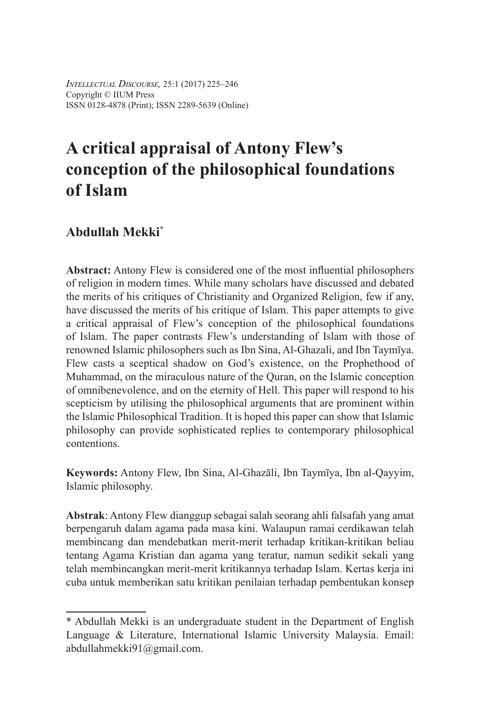*Intellectual Discourse,* 25:1 (2017) 225–246 Copyright © IIUM Press ISSN 0128-4878 (Print); ISSN 2289-5639 (Online)

# **A critical appraisal of Antony Flew's conception of the philosophical foundations of Islam**

# **Abdullah Mekki\***

**Abstract:** Antony Flew is considered one of the most influential philosophers of religion in modern times. While many scholars have discussed and debated the merits of his critiques of Christianity and Organized Religion, few if any, have discussed the merits of his critique of Islam. This paper attempts to give a critical appraisal of Flew's conception of the philosophical foundations of Islam. The paper contrasts Flew's understanding of Islam with those of renowned Islamic philosophers such as Ibn Sina, Al-Ghazali, and Ibn Taymīya. Flew casts a sceptical shadow on God's existence, on the Prophethood of Muhammad, on the miraculous nature of the Quran, on the Islamic conception of omnibenevolence, and on the eternity of Hell. This paper will respond to his scepticism by utilising the philosophical arguments that are prominent within the Islamic Philosophical Tradition. It is hoped this paper can show that Islamic philosophy can provide sophisticated replies to contemporary philosophical contentions.

**Keywords:** Antony Flew, Ibn Sina, Al-Ghazāli, Ibn Taymīya, Ibn al-Qayyim, Islamic philosophy.

**Abstrak**: Antony Flew dianggup sebagai salah seorang ahli falsafah yang amat berpengaruh dalam agama pada masa kini. Walaupun ramai cerdikawan telah membincang dan mendebatkan merit-merit terhadap kritikan-kritikan beliau tentang Agama Kristian dan agama yang teratur, namun sedikit sekali yang telah membincangkan merit-merit kritikannya terhadap Islam. Kertas kerja ini cuba untuk memberikan satu kritikan penilaian terhadap pembentukan konsep

<sup>\*</sup> Abdullah Mekki is an undergraduate student in the Department of English Language & Literature, International Islamic University Malaysia. Email: abdullahmekki91@gmail.com.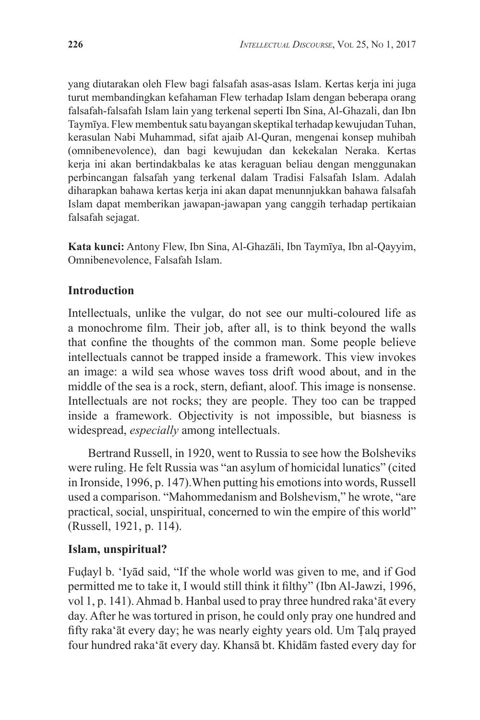yang diutarakan oleh Flew bagi falsafah asas-asas Islam. Kertas kerja ini juga turut membandingkan kefahaman Flew terhadap Islam dengan beberapa orang falsafah-falsafah Islam lain yang terkenal seperti Ibn Sina, Al-Ghazali, dan Ibn Taymīya. Flew membentuk satu bayangan skeptikal terhadap kewujudan Tuhan, kerasulan Nabi Muhammad, sifat ajaib Al-Quran, mengenai konsep muhibah (omnibenevolence), dan bagi kewujudan dan kekekalan Neraka. Kertas kerja ini akan bertindakbalas ke atas keraguan beliau dengan menggunakan perbincangan falsafah yang terkenal dalam Tradisi Falsafah Islam. Adalah diharapkan bahawa kertas kerja ini akan dapat menunnjukkan bahawa falsafah Islam dapat memberikan jawapan-jawapan yang canggih terhadap pertikaian falsafah sejagat.

**Kata kunci:** Antony Flew, Ibn Sina, Al-Ghazāli, Ibn Taymīya, Ibn al-Qayyim, Omnibenevolence, Falsafah Islam.

### **Introduction**

Intellectuals, unlike the vulgar, do not see our multi-coloured life as a monochrome film. Their job, after all, is to think beyond the walls that confine the thoughts of the common man. Some people believe intellectuals cannot be trapped inside a framework. This view invokes an image: a wild sea whose waves toss drift wood about, and in the middle of the sea is a rock, stern, defiant, aloof. This image is nonsense. Intellectuals are not rocks; they are people. They too can be trapped inside a framework. Objectivity is not impossible, but biasness is widespread, *especially* among intellectuals.

Bertrand Russell, in 1920, went to Russia to see how the Bolsheviks were ruling. He felt Russia was "an asylum of homicidal lunatics" (cited in Ironside, 1996, p. 147).When putting his emotions into words, Russell used a comparison. "Mahommedanism and Bolshevism," he wrote, "are practical, social, unspiritual, concerned to win the empire of this world" (Russell, 1921, p. 114).

#### **Islam, unspiritual?**

Fuḍayl b. 'Iyād said, "If the whole world was given to me, and if God permitted me to take it, I would still think it filthy" (Ibn Al-Jawzi, 1996, vol 1, p. 141). Ahmad b. Hanbal used to pray three hundred raka'āt every day. After he was tortured in prison, he could only pray one hundred and fifty raka'āt every day; he was nearly eighty years old. Um Ṭalq prayed four hundred raka'āt every day. Khansā bt. Khidām fasted every day for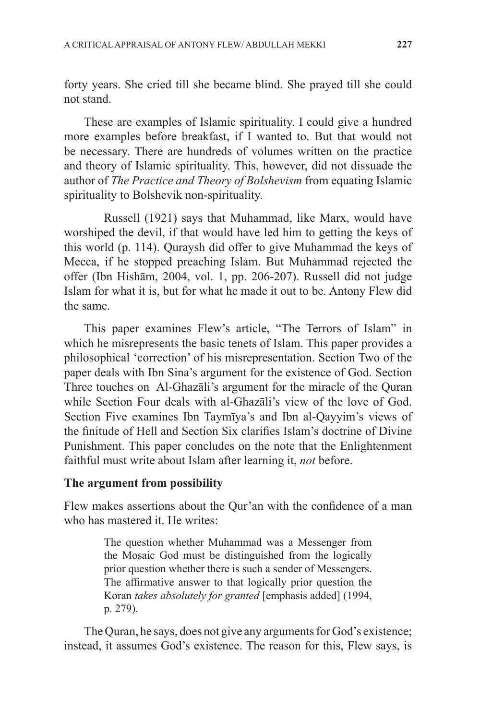forty years. She cried till she became blind. She prayed till she could not stand.

These are examples of Islamic spirituality. I could give a hundred more examples before breakfast, if I wanted to. But that would not be necessary. There are hundreds of volumes written on the practice and theory of Islamic spirituality. This, however, did not dissuade the author of *The Practice and Theory of Bolshevism* from equating Islamic spirituality to Bolshevik non-spirituality.

Russell (1921) says that Muhammad, like Marx, would have worshiped the devil, if that would have led him to getting the keys of this world (p. 114). Quraysh did offer to give Muhammad the keys of Mecca, if he stopped preaching Islam. But Muhammad rejected the offer (Ibn Hishām, 2004, vol. 1, pp. 206-207). Russell did not judge Islam for what it is, but for what he made it out to be. Antony Flew did the same.

This paper examines Flew's article, "The Terrors of Islam" in which he misrepresents the basic tenets of Islam. This paper provides a philosophical 'correction' of his misrepresentation. Section Two of the paper deals with Ibn Sina's argument for the existence of God. Section Three touches on Al-Ghazāli's argument for the miracle of the Quran while Section Four deals with al-Ghazāli's view of the love of God. Section Five examines Ibn Taymīya's and Ibn al-Qayyim's views of the finitude of Hell and Section Six clarifies Islam's doctrine of Divine Punishment. This paper concludes on the note that the Enlightenment faithful must write about Islam after learning it, *not* before.

#### **The argument from possibility**

Flew makes assertions about the Qur'an with the confidence of a man who has mastered it. He writes:

> The question whether Muhammad was a Messenger from the Mosaic God must be distinguished from the logically prior question whether there is such a sender of Messengers. The affirmative answer to that logically prior question the Koran *takes absolutely for granted* [emphasis added] (1994, p. 279).

The Quran, he says, does not give any arguments for God's existence; instead, it assumes God's existence. The reason for this, Flew says, is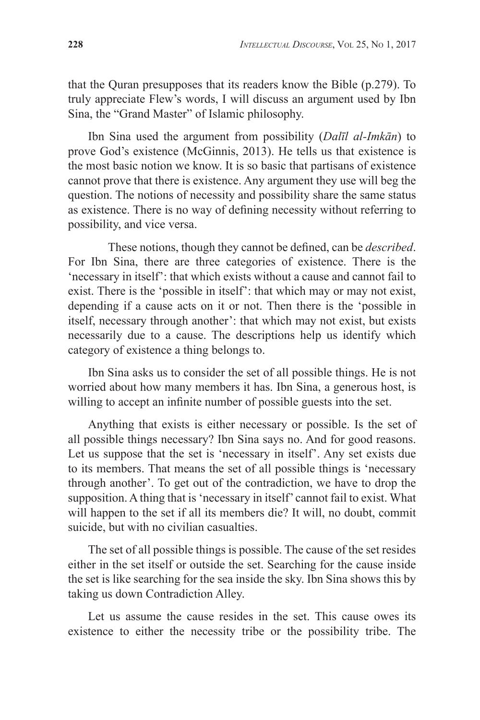that the Quran presupposes that its readers know the Bible (p.279). To truly appreciate Flew's words, I will discuss an argument used by Ibn Sina, the "Grand Master" of Islamic philosophy.

Ibn Sina used the argument from possibility (*Dalīl al-Imkān*) to prove God's existence (McGinnis, 2013). He tells us that existence is the most basic notion we know. It is so basic that partisans of existence cannot prove that there is existence. Any argument they use will beg the question. The notions of necessity and possibility share the same status as existence. There is no way of defining necessity without referring to possibility, and vice versa.

These notions, though they cannot be defined, can be *described*. For Ibn Sina, there are three categories of existence. There is the 'necessary in itself': that which exists without a cause and cannot fail to exist. There is the 'possible in itself': that which may or may not exist, depending if a cause acts on it or not. Then there is the 'possible in itself, necessary through another': that which may not exist, but exists necessarily due to a cause. The descriptions help us identify which category of existence a thing belongs to.

Ibn Sina asks us to consider the set of all possible things. He is not worried about how many members it has. Ibn Sina, a generous host, is willing to accept an infinite number of possible guests into the set.

Anything that exists is either necessary or possible. Is the set of all possible things necessary? Ibn Sina says no. And for good reasons. Let us suppose that the set is 'necessary in itself'. Any set exists due to its members. That means the set of all possible things is 'necessary through another'. To get out of the contradiction, we have to drop the supposition. A thing that is 'necessary in itself' cannot fail to exist. What will happen to the set if all its members die? It will, no doubt, commit suicide, but with no civilian casualties.

The set of all possible things is possible. The cause of the set resides either in the set itself or outside the set. Searching for the cause inside the set is like searching for the sea inside the sky. Ibn Sina shows this by taking us down Contradiction Alley.

Let us assume the cause resides in the set. This cause owes its existence to either the necessity tribe or the possibility tribe. The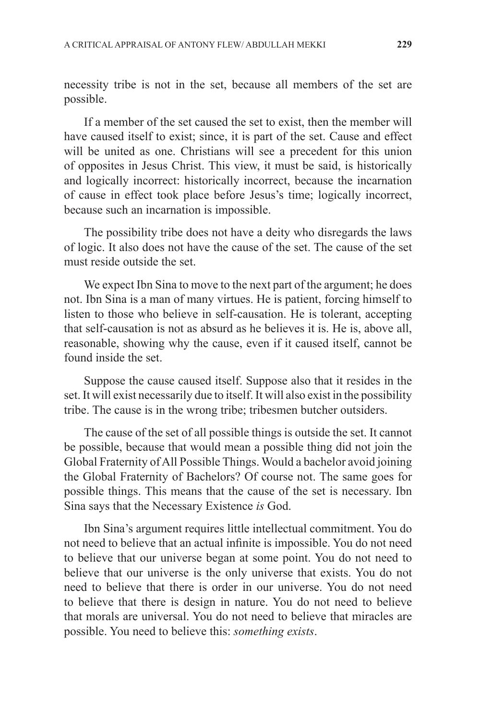necessity tribe is not in the set, because all members of the set are possible.

If a member of the set caused the set to exist, then the member will have caused itself to exist; since, it is part of the set. Cause and effect will be united as one. Christians will see a precedent for this union of opposites in Jesus Christ. This view, it must be said, is historically and logically incorrect: historically incorrect, because the incarnation of cause in effect took place before Jesus's time; logically incorrect, because such an incarnation is impossible.

The possibility tribe does not have a deity who disregards the laws of logic. It also does not have the cause of the set. The cause of the set must reside outside the set.

We expect Ibn Sina to move to the next part of the argument; he does not. Ibn Sina is a man of many virtues. He is patient, forcing himself to listen to those who believe in self-causation. He is tolerant, accepting that self-causation is not as absurd as he believes it is. He is, above all, reasonable, showing why the cause, even if it caused itself, cannot be found inside the set.

Suppose the cause caused itself. Suppose also that it resides in the set. It will exist necessarily due to itself. It will also exist in the possibility tribe. The cause is in the wrong tribe; tribesmen butcher outsiders.

The cause of the set of all possible things is outside the set. It cannot be possible, because that would mean a possible thing did not join the Global Fraternity of All Possible Things. Would a bachelor avoid joining the Global Fraternity of Bachelors? Of course not. The same goes for possible things. This means that the cause of the set is necessary. Ibn Sina says that the Necessary Existence *is* God.

Ibn Sina's argument requires little intellectual commitment. You do not need to believe that an actual infinite is impossible. You do not need to believe that our universe began at some point. You do not need to believe that our universe is the only universe that exists. You do not need to believe that there is order in our universe. You do not need to believe that there is design in nature. You do not need to believe that morals are universal. You do not need to believe that miracles are possible. You need to believe this: *something exists*.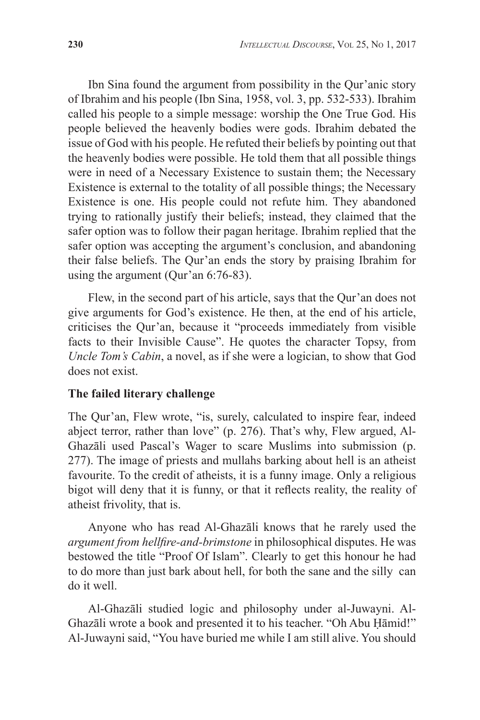Ibn Sina found the argument from possibility in the Qur'anic story of Ibrahim and his people (Ibn Sina, 1958, vol. 3, pp. 532-533). Ibrahim called his people to a simple message: worship the One True God. His people believed the heavenly bodies were gods. Ibrahim debated the issue of God with his people. He refuted their beliefs by pointing out that the heavenly bodies were possible. He told them that all possible things were in need of a Necessary Existence to sustain them; the Necessary Existence is external to the totality of all possible things; the Necessary Existence is one. His people could not refute him. They abandoned trying to rationally justify their beliefs; instead, they claimed that the safer option was to follow their pagan heritage. Ibrahim replied that the safer option was accepting the argument's conclusion, and abandoning their false beliefs. The Qur'an ends the story by praising Ibrahim for using the argument (Qur'an 6:76-83).

Flew, in the second part of his article, says that the Qur'an does not give arguments for God's existence. He then, at the end of his article, criticises the Qur'an, because it "proceeds immediately from visible facts to their Invisible Cause". He quotes the character Topsy, from *Uncle Tom's Cabin*, a novel, as if she were a logician, to show that God does not exist.

#### **The failed literary challenge**

The Qur'an, Flew wrote, "is, surely, calculated to inspire fear, indeed abject terror, rather than love" (p. 276). That's why, Flew argued, Al-Ghazāli used Pascal's Wager to scare Muslims into submission (p. 277). The image of priests and mullahs barking about hell is an atheist favourite. To the credit of atheists, it is a funny image. Only a religious bigot will deny that it is funny, or that it reflects reality, the reality of atheist frivolity, that is.

Anyone who has read Al-Ghazāli knows that he rarely used the *argument from hellfire-and-brimstone* in philosophical disputes. He was bestowed the title "Proof Of Islam". Clearly to get this honour he had to do more than just bark about hell, for both the sane and the silly can do it well.

Al-Ghazāli studied logic and philosophy under al-Juwayni. Al-Ghazāli wrote a book and presented it to his teacher. "Oh Abu Ḥāmid!" Al-Juwayni said, "You have buried me while I am still alive. You should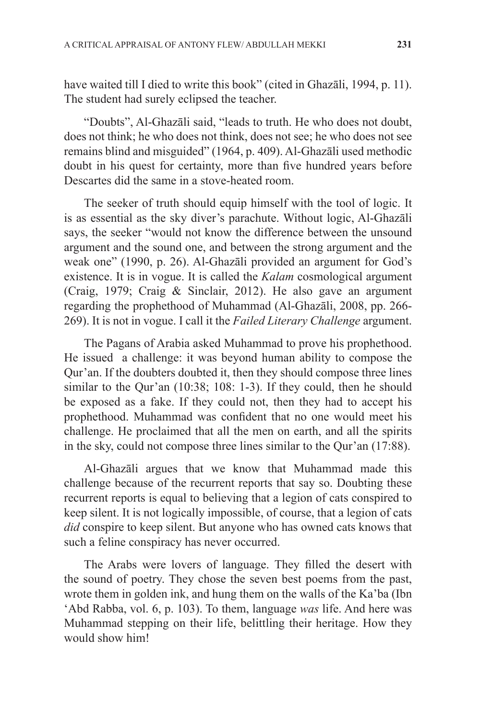have waited till I died to write this book" (cited in Ghazāli, 1994, p. 11). The student had surely eclipsed the teacher.

"Doubts", Al-Ghazāli said, "leads to truth. He who does not doubt, does not think; he who does not think, does not see; he who does not see remains blind and misguided" (1964, p. 409). Al-Ghazāli used methodic doubt in his quest for certainty, more than five hundred years before Descartes did the same in a stove-heated room.

The seeker of truth should equip himself with the tool of logic. It is as essential as the sky diver's parachute. Without logic, Al-Ghazāli says, the seeker "would not know the difference between the unsound argument and the sound one, and between the strong argument and the weak one" (1990, p. 26). Al-Ghazāli provided an argument for God's existence. It is in vogue. It is called the *Kalam* cosmological argument (Craig, 1979; Craig & Sinclair, 2012). He also gave an argument regarding the prophethood of Muhammad (Al-Ghazāli, 2008, pp. 266- 269). It is not in vogue. I call it the *Failed Literary Challenge* argument.

The Pagans of Arabia asked Muhammad to prove his prophethood. He issued a challenge: it was beyond human ability to compose the Qur'an. If the doubters doubted it, then they should compose three lines similar to the Qur'an (10:38; 108: 1-3). If they could, then he should be exposed as a fake. If they could not, then they had to accept his prophethood. Muhammad was confident that no one would meet his challenge. He proclaimed that all the men on earth, and all the spirits in the sky, could not compose three lines similar to the Qur'an (17:88).

Al-Ghazāli argues that we know that Muhammad made this challenge because of the recurrent reports that say so. Doubting these recurrent reports is equal to believing that a legion of cats conspired to keep silent. It is not logically impossible, of course, that a legion of cats *did* conspire to keep silent. But anyone who has owned cats knows that such a feline conspiracy has never occurred.

The Arabs were lovers of language. They filled the desert with the sound of poetry. They chose the seven best poems from the past, wrote them in golden ink, and hung them on the walls of the Ka'ba (Ibn 'Abd Rabba, vol. 6, p. 103). To them, language *was* life. And here was Muhammad stepping on their life, belittling their heritage. How they would show him!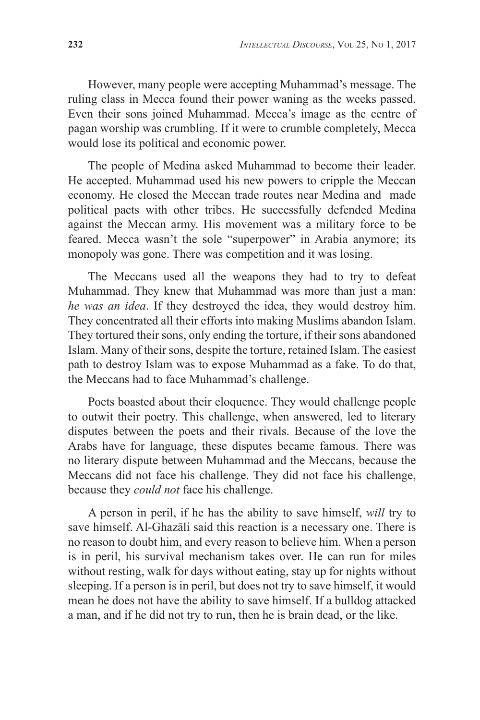However, many people were accepting Muhammad's message. The ruling class in Mecca found their power waning as the weeks passed. Even their sons joined Muhammad. Mecca's image as the centre of pagan worship was crumbling. If it were to crumble completely, Mecca would lose its political and economic power.

The people of Medina asked Muhammad to become their leader. He accepted. Muhammad used his new powers to cripple the Meccan economy. He closed the Meccan trade routes near Medina and made political pacts with other tribes. He successfully defended Medina against the Meccan army. His movement was a military force to be feared. Mecca wasn't the sole "superpower" in Arabia anymore; its monopoly was gone. There was competition and it was losing.

The Meccans used all the weapons they had to try to defeat Muhammad. They knew that Muhammad was more than just a man: *he was an idea*. If they destroyed the idea, they would destroy him. They concentrated all their efforts into making Muslims abandon Islam. They tortured their sons, only ending the torture, if their sons abandoned Islam. Many of their sons, despite the torture, retained Islam. The easiest path to destroy Islam was to expose Muhammad as a fake. To do that, the Meccans had to face Muhammad's challenge.

Poets boasted about their eloquence. They would challenge people to outwit their poetry. This challenge, when answered, led to literary disputes between the poets and their rivals. Because of the love the Arabs have for language, these disputes became famous. There was no literary dispute between Muhammad and the Meccans, because the Meccans did not face his challenge. They did not face his challenge, because they *could not* face his challenge.

A person in peril, if he has the ability to save himself, *will* try to save himself. Al-Ghazāli said this reaction is a necessary one. There is no reason to doubt him, and every reason to believe him. When a person is in peril, his survival mechanism takes over. He can run for miles without resting, walk for days without eating, stay up for nights without sleeping. If a person is in peril, but does not try to save himself, it would mean he does not have the ability to save himself. If a bulldog attacked a man, and if he did not try to run, then he is brain dead, or the like.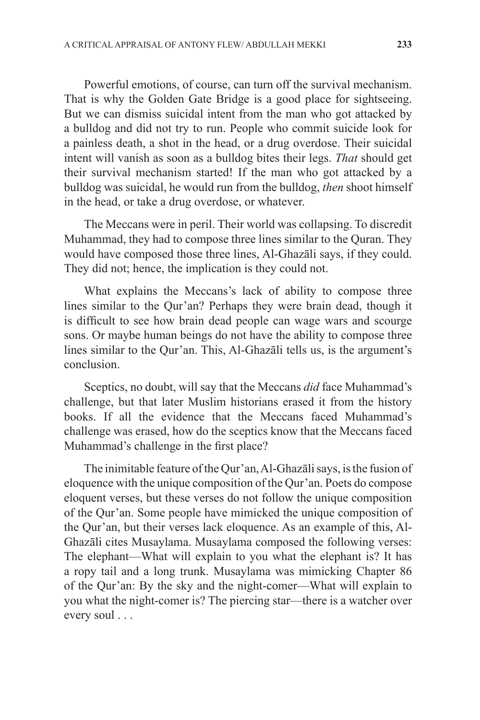Powerful emotions, of course, can turn off the survival mechanism. That is why the Golden Gate Bridge is a good place for sightseeing. But we can dismiss suicidal intent from the man who got attacked by a bulldog and did not try to run. People who commit suicide look for a painless death, a shot in the head, or a drug overdose. Their suicidal intent will vanish as soon as a bulldog bites their legs. *That* should get their survival mechanism started! If the man who got attacked by a bulldog was suicidal, he would run from the bulldog, *then* shoot himself in the head, or take a drug overdose, or whatever.

The Meccans were in peril. Their world was collapsing. To discredit Muhammad, they had to compose three lines similar to the Quran. They would have composed those three lines, Al-Ghazāli says, if they could. They did not; hence, the implication is they could not.

What explains the Meccans's lack of ability to compose three lines similar to the Qur'an? Perhaps they were brain dead, though it is difficult to see how brain dead people can wage wars and scourge sons. Or maybe human beings do not have the ability to compose three lines similar to the Qur'an. This, Al-Ghazāli tells us, is the argument's conclusion.

Sceptics, no doubt, will say that the Meccans *did* face Muhammad's challenge, but that later Muslim historians erased it from the history books. If all the evidence that the Meccans faced Muhammad's challenge was erased, how do the sceptics know that the Meccans faced Muhammad's challenge in the first place?

The inimitable feature of the Qur'an, Al-Ghazāli says, is the fusion of eloquence with the unique composition of the Qur'an. Poets do compose eloquent verses, but these verses do not follow the unique composition of the Qur'an. Some people have mimicked the unique composition of the Qur'an, but their verses lack eloquence. As an example of this, Al-Ghazāli cites Musaylama. Musaylama composed the following verses: The elephant—What will explain to you what the elephant is? It has a ropy tail and a long trunk. Musaylama was mimicking Chapter 86 of the Qur'an: By the sky and the night-comer—What will explain to you what the night-comer is? The piercing star—there is a watcher over every soul . . .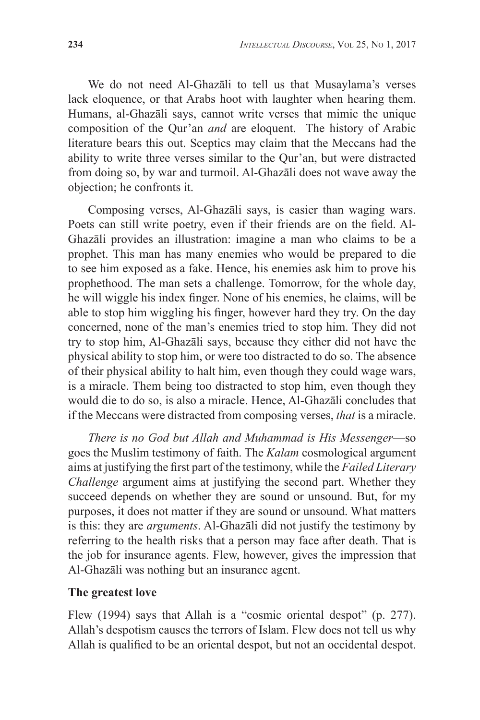We do not need Al-Ghazāli to tell us that Musaylama's verses lack eloquence, or that Arabs hoot with laughter when hearing them. Humans, al-Ghazāli says, cannot write verses that mimic the unique composition of the Qur'an *and* are eloquent. The history of Arabic literature bears this out. Sceptics may claim that the Meccans had the ability to write three verses similar to the Qur'an, but were distracted from doing so, by war and turmoil. Al-Ghazāli does not wave away the objection; he confronts it.

Composing verses, Al-Ghazāli says, is easier than waging wars. Poets can still write poetry, even if their friends are on the field. Al-Ghazāli provides an illustration: imagine a man who claims to be a prophet. This man has many enemies who would be prepared to die to see him exposed as a fake. Hence, his enemies ask him to prove his prophethood. The man sets a challenge. Tomorrow, for the whole day, he will wiggle his index finger. None of his enemies, he claims, will be able to stop him wiggling his finger, however hard they try. On the day concerned, none of the man's enemies tried to stop him. They did not try to stop him, Al-Ghazāli says, because they either did not have the physical ability to stop him, or were too distracted to do so. The absence of their physical ability to halt him, even though they could wage wars, is a miracle. Them being too distracted to stop him, even though they would die to do so, is also a miracle. Hence, Al-Ghazāli concludes that if the Meccans were distracted from composing verses, *that* is a miracle.

*There is no God but Allah and Muhammad is His Messenger*—so goes the Muslim testimony of faith. The *Kalam* cosmological argument aims at justifying the first part of the testimony, while the *Failed Literary Challenge* argument aims at justifying the second part. Whether they succeed depends on whether they are sound or unsound. But, for my purposes, it does not matter if they are sound or unsound. What matters is this: they are *arguments*. Al-Ghazāli did not justify the testimony by referring to the health risks that a person may face after death. That is the job for insurance agents. Flew, however, gives the impression that Al-Ghazāli was nothing but an insurance agent.

#### **The greatest love**

Flew (1994) says that Allah is a "cosmic oriental despot" (p. 277). Allah's despotism causes the terrors of Islam. Flew does not tell us why Allah is qualified to be an oriental despot, but not an occidental despot.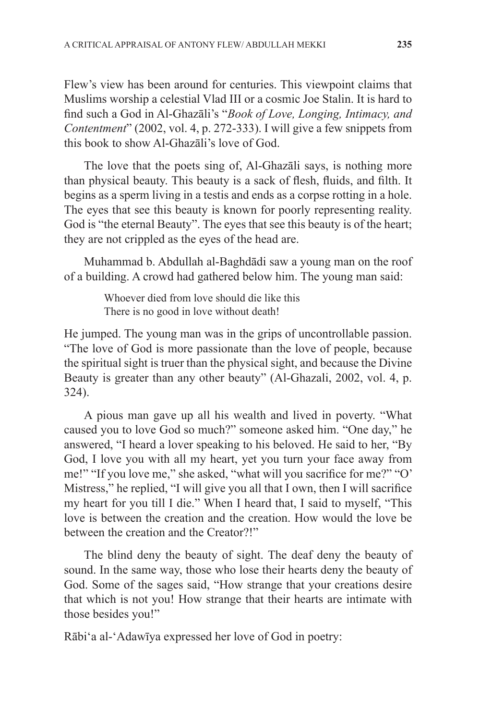Flew's view has been around for centuries. This viewpoint claims that Muslims worship a celestial Vlad III or a cosmic Joe Stalin. It is hard to find such a God in Al-Ghazāli's "*Book of Love, Longing, Intimacy, and Contentment*" (2002, vol. 4, p. 272-333). I will give a few snippets from this book to show Al-Ghazāli's love of God.

The love that the poets sing of, Al-Ghazāli says, is nothing more than physical beauty. This beauty is a sack of flesh, fluids, and filth. It begins as a sperm living in a testis and ends as a corpse rotting in a hole. The eyes that see this beauty is known for poorly representing reality. God is "the eternal Beauty". The eyes that see this beauty is of the heart; they are not crippled as the eyes of the head are.

Muhammad b. Abdullah al-Baghdādi saw a young man on the roof of a building. A crowd had gathered below him. The young man said:

> Whoever died from love should die like this There is no good in love without death!

He jumped. The young man was in the grips of uncontrollable passion. "The love of God is more passionate than the love of people, because the spiritual sight is truer than the physical sight, and because the Divine Beauty is greater than any other beauty" (Al-Ghazali, 2002, vol. 4, p. 324).

A pious man gave up all his wealth and lived in poverty. "What caused you to love God so much?" someone asked him. "One day," he answered, "I heard a lover speaking to his beloved. He said to her, "By God, I love you with all my heart, yet you turn your face away from me!" "If you love me," she asked, "what will you sacrifice for me?" "O' Mistress," he replied, "I will give you all that I own, then I will sacrifice my heart for you till I die." When I heard that, I said to myself, "This love is between the creation and the creation. How would the love be between the creation and the Creator?!"

The blind deny the beauty of sight. The deaf deny the beauty of sound. In the same way, those who lose their hearts deny the beauty of God. Some of the sages said, "How strange that your creations desire that which is not you! How strange that their hearts are intimate with those besides you!"

Rābi'a al-'Adawīya expressed her love of God in poetry: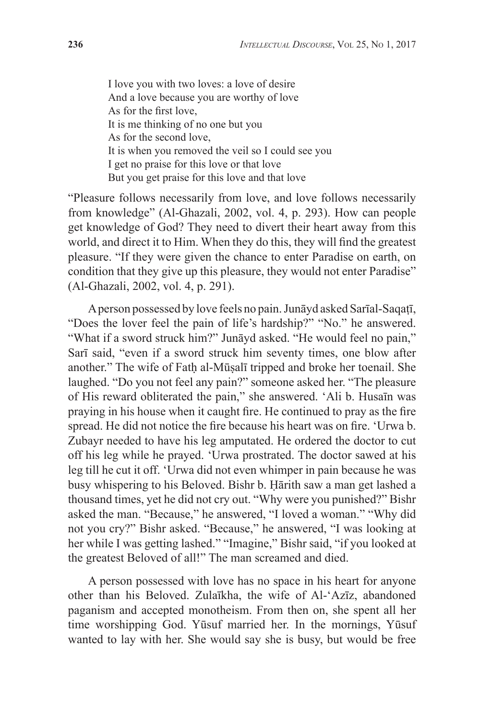I love you with two loves: a love of desire And a love because you are worthy of love As for the first love, It is me thinking of no one but you As for the second love, It is when you removed the veil so I could see you I get no praise for this love or that love But you get praise for this love and that love

"Pleasure follows necessarily from love, and love follows necessarily from knowledge" (Al-Ghazali, 2002, vol. 4, p. 293). How can people get knowledge of God? They need to divert their heart away from this world, and direct it to Him. When they do this, they will find the greatest pleasure. "If they were given the chance to enter Paradise on earth, on condition that they give up this pleasure, they would not enter Paradise" (Al-Ghazali, 2002, vol. 4, p. 291).

A person possessed by love feels no pain. Junāyd asked Sarīal-Saqaṭī, "Does the lover feel the pain of life's hardship?" "No." he answered. "What if a sword struck him?" Junāyd asked. "He would feel no pain," Sarī said, "even if a sword struck him seventy times, one blow after another." The wife of Fatḥ al-Mūṣalī tripped and broke her toenail. She laughed. "Do you not feel any pain?" someone asked her. "The pleasure of His reward obliterated the pain," she answered. 'Ali b. Husaīn was praying in his house when it caught fire. He continued to pray as the fire spread. He did not notice the fire because his heart was on fire. 'Urwa b. Zubayr needed to have his leg amputated. He ordered the doctor to cut off his leg while he prayed. 'Urwa prostrated. The doctor sawed at his leg till he cut it off. 'Urwa did not even whimper in pain because he was busy whispering to his Beloved. Bishr b. Ḥārith saw a man get lashed a thousand times, yet he did not cry out. "Why were you punished?" Bishr asked the man. "Because," he answered, "I loved a woman." "Why did not you cry?" Bishr asked. "Because," he answered, "I was looking at her while I was getting lashed." "Imagine," Bishr said, "if you looked at the greatest Beloved of all!" The man screamed and died.

A person possessed with love has no space in his heart for anyone other than his Beloved. Zulaīkha, the wife of Al-'Azīz, abandoned paganism and accepted monotheism. From then on, she spent all her time worshipping God. Yūsuf married her. In the mornings, Yūsuf wanted to lay with her. She would say she is busy, but would be free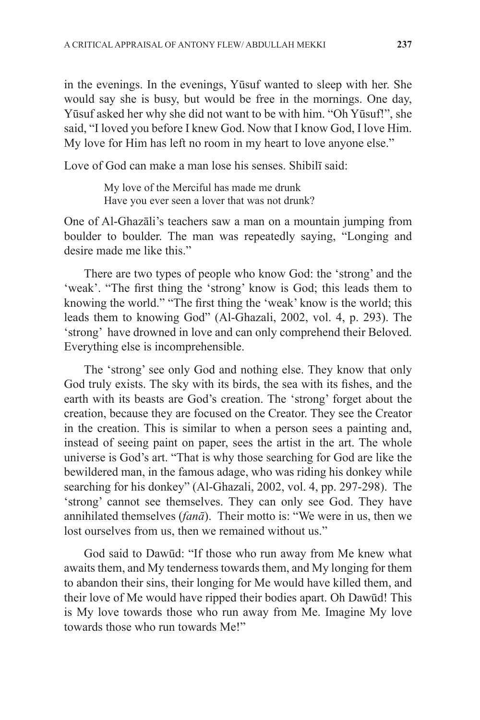in the evenings. In the evenings, Yūsuf wanted to sleep with her. She would say she is busy, but would be free in the mornings. One day, Yūsuf asked her why she did not want to be with him. "Oh Yūsuf!", she said, "I loved you before I knew God. Now that I know God, I love Him. My love for Him has left no room in my heart to love anyone else."

Love of God can make a man lose his senses. Shibilī said:

My love of the Merciful has made me drunk Have you ever seen a lover that was not drunk?

One of Al-Ghazāli's teachers saw a man on a mountain jumping from boulder to boulder. The man was repeatedly saying, "Longing and desire made me like this."

There are two types of people who know God: the 'strong' and the 'weak'. "The first thing the 'strong' know is God; this leads them to knowing the world." "The first thing the 'weak' know is the world; this leads them to knowing God" (Al-Ghazali, 2002, vol. 4, p. 293). The 'strong' have drowned in love and can only comprehend their Beloved. Everything else is incomprehensible.

The 'strong' see only God and nothing else. They know that only God truly exists. The sky with its birds, the sea with its fishes, and the earth with its beasts are God's creation. The 'strong' forget about the creation, because they are focused on the Creator. They see the Creator in the creation. This is similar to when a person sees a painting and, instead of seeing paint on paper, sees the artist in the art. The whole universe is God's art. "That is why those searching for God are like the bewildered man, in the famous adage, who was riding his donkey while searching for his donkey" (Al-Ghazali, 2002, vol. 4, pp. 297-298). The 'strong' cannot see themselves. They can only see God. They have annihilated themselves (*fanā*). Their motto is: "We were in us, then we lost ourselves from us, then we remained without us."

God said to Dawūd: "If those who run away from Me knew what awaits them, and My tenderness towards them, and My longing for them to abandon their sins, their longing for Me would have killed them, and their love of Me would have ripped their bodies apart. Oh Dawūd! This is My love towards those who run away from Me. Imagine My love towards those who run towards Me!"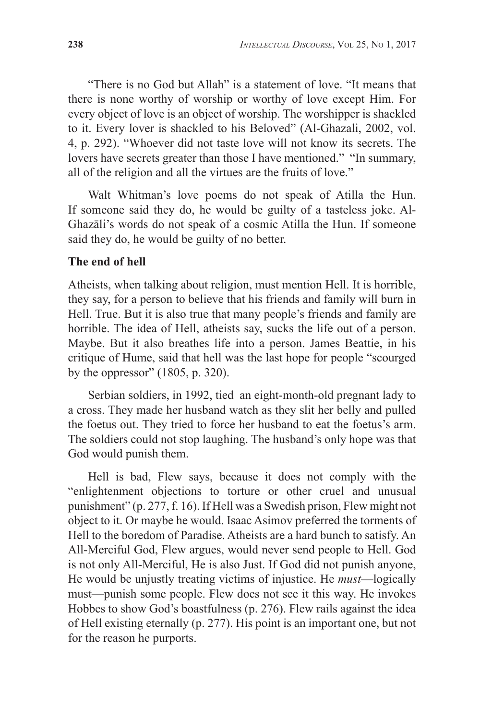"There is no God but Allah" is a statement of love. "It means that there is none worthy of worship or worthy of love except Him. For every object of love is an object of worship. The worshipper is shackled to it. Every lover is shackled to his Beloved" (Al-Ghazali, 2002, vol. 4, p. 292). "Whoever did not taste love will not know its secrets. The lovers have secrets greater than those I have mentioned." "In summary, all of the religion and all the virtues are the fruits of love."

Walt Whitman's love poems do not speak of Atilla the Hun. If someone said they do, he would be guilty of a tasteless joke. Al-Ghazāli's words do not speak of a cosmic Atilla the Hun. If someone said they do, he would be guilty of no better.

#### **The end of hell**

Atheists, when talking about religion, must mention Hell. It is horrible, they say, for a person to believe that his friends and family will burn in Hell. True. But it is also true that many people's friends and family are horrible. The idea of Hell, atheists say, sucks the life out of a person. Maybe. But it also breathes life into a person. James Beattie, in his critique of Hume, said that hell was the last hope for people "scourged by the oppressor" (1805, p. 320).

Serbian soldiers, in 1992, tied an eight-month-old pregnant lady to a cross. They made her husband watch as they slit her belly and pulled the foetus out. They tried to force her husband to eat the foetus's arm. The soldiers could not stop laughing. The husband's only hope was that God would punish them.

Hell is bad, Flew says, because it does not comply with the "enlightenment objections to torture or other cruel and unusual punishment" (p. 277, f. 16). If Hell was a Swedish prison, Flew might not object to it. Or maybe he would. Isaac Asimov preferred the torments of Hell to the boredom of Paradise. Atheists are a hard bunch to satisfy. An All-Merciful God, Flew argues, would never send people to Hell. God is not only All-Merciful, He is also Just. If God did not punish anyone, He would be unjustly treating victims of injustice. He *must*—logically must—punish some people. Flew does not see it this way. He invokes Hobbes to show God's boastfulness (p. 276). Flew rails against the idea of Hell existing eternally (p. 277). His point is an important one, but not for the reason he purports.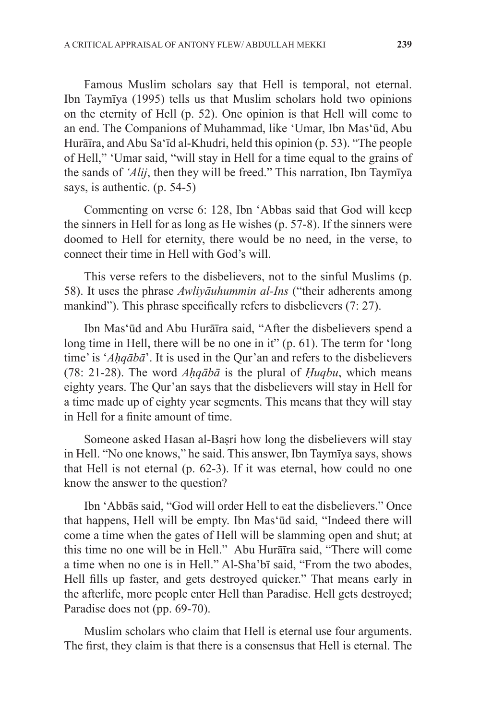Famous Muslim scholars say that Hell is temporal, not eternal. Ibn Taymīya (1995) tells us that Muslim scholars hold two opinions on the eternity of Hell (p. 52). One opinion is that Hell will come to an end. The Companions of Muhammad, like 'Umar, Ibn Mas'ūd, Abu Hurāīra, and Abu Sa'īd al-Khudri, held this opinion (p. 53). "The people of Hell," 'Umar said, "will stay in Hell for a time equal to the grains of the sands of *'Alij*, then they will be freed." This narration, Ibn Taymīya says, is authentic. (p. 54-5)

Commenting on verse 6: 128, Ibn 'Abbas said that God will keep the sinners in Hell for as long as He wishes (p. 57-8). If the sinners were doomed to Hell for eternity, there would be no need, in the verse, to connect their time in Hell with God's will.

This verse refers to the disbelievers, not to the sinful Muslims (p. 58). It uses the phrase *Awliyāuhummin al-Ins* ("their adherents among mankind"). This phrase specifically refers to disbelievers (7: 27).

Ibn Mas'ūd and Abu Hurāīra said, "After the disbelievers spend a long time in Hell, there will be no one in it" (p. 61). The term for 'long time' is '*Aḥqābā*'. It is used in the Qur'an and refers to the disbelievers (78: 21-28). The word *Aḥqābā* is the plural of *Ḥuqbu*, which means eighty years. The Qur'an says that the disbelievers will stay in Hell for a time made up of eighty year segments. This means that they will stay in Hell for a finite amount of time.

Someone asked Hasan al-Basri how long the disbelievers will stay in Hell. "No one knows," he said. This answer, Ibn Taymīya says, shows that Hell is not eternal (p. 62-3). If it was eternal, how could no one know the answer to the question?

Ibn 'Abbās said, "God will order Hell to eat the disbelievers." Once that happens, Hell will be empty. Ibn Mas'ūd said, "Indeed there will come a time when the gates of Hell will be slamming open and shut; at this time no one will be in Hell." Abu Hurāīra said, "There will come a time when no one is in Hell." Al-Sha'bī said, "From the two abodes, Hell fills up faster, and gets destroyed quicker." That means early in the afterlife, more people enter Hell than Paradise. Hell gets destroyed; Paradise does not (pp. 69-70).

Muslim scholars who claim that Hell is eternal use four arguments. The first, they claim is that there is a consensus that Hell is eternal. The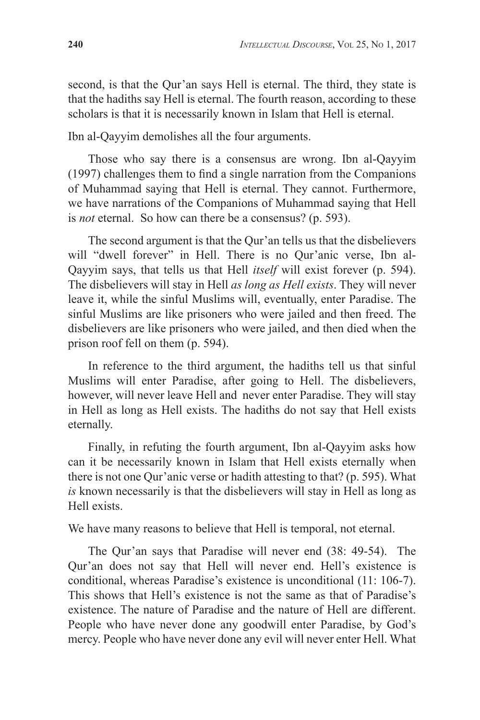second, is that the Qur'an says Hell is eternal. The third, they state is that the hadiths say Hell is eternal. The fourth reason, according to these scholars is that it is necessarily known in Islam that Hell is eternal.

Ibn al-Qayyim demolishes all the four arguments.

Those who say there is a consensus are wrong. Ibn al-Qayyim (1997) challenges them to find a single narration from the Companions of Muhammad saying that Hell is eternal. They cannot. Furthermore, we have narrations of the Companions of Muhammad saying that Hell is *not* eternal. So how can there be a consensus? (p. 593).

The second argument is that the Qur'an tells us that the disbelievers will "dwell forever" in Hell. There is no Qur'anic verse, Ibn al-Qayyim says, that tells us that Hell *itself* will exist forever (p. 594). The disbelievers will stay in Hell *as long as Hell exists*. They will never leave it, while the sinful Muslims will, eventually, enter Paradise. The sinful Muslims are like prisoners who were jailed and then freed. The disbelievers are like prisoners who were jailed, and then died when the prison roof fell on them (p. 594).

In reference to the third argument, the hadiths tell us that sinful Muslims will enter Paradise, after going to Hell. The disbelievers, however, will never leave Hell and never enter Paradise. They will stay in Hell as long as Hell exists. The hadiths do not say that Hell exists eternally.

Finally, in refuting the fourth argument, Ibn al-Qayyim asks how can it be necessarily known in Islam that Hell exists eternally when there is not one Qur'anic verse or hadith attesting to that? (p. 595). What *is* known necessarily is that the disbelievers will stay in Hell as long as Hell exists.

We have many reasons to believe that Hell is temporal, not eternal.

The Qur'an says that Paradise will never end (38: 49-54). The Qur'an does not say that Hell will never end. Hell's existence is conditional, whereas Paradise's existence is unconditional (11: 106-7). This shows that Hell's existence is not the same as that of Paradise's existence. The nature of Paradise and the nature of Hell are different. People who have never done any goodwill enter Paradise, by God's mercy. People who have never done any evil will never enter Hell. What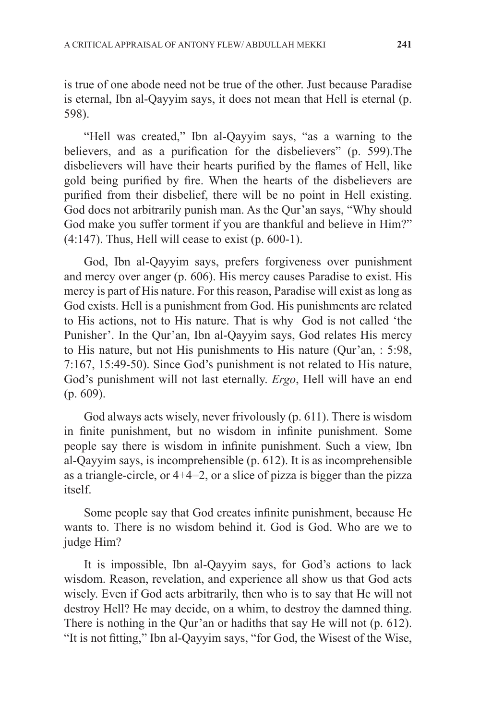is true of one abode need not be true of the other. Just because Paradise is eternal, Ibn al-Qayyim says, it does not mean that Hell is eternal (p. 598).

"Hell was created," Ibn al-Qayyim says, "as a warning to the believers, and as a purification for the disbelievers" (p. 599).The disbelievers will have their hearts purified by the flames of Hell, like gold being purified by fire. When the hearts of the disbelievers are purified from their disbelief, there will be no point in Hell existing. God does not arbitrarily punish man. As the Qur'an says, "Why should God make you suffer torment if you are thankful and believe in Him?"  $(4:147)$ . Thus, Hell will cease to exist  $(p. 600-1)$ .

God, Ibn al-Qayyim says, prefers forgiveness over punishment and mercy over anger (p. 606). His mercy causes Paradise to exist. His mercy is part of His nature. For this reason, Paradise will exist as long as God exists. Hell is a punishment from God. His punishments are related to His actions, not to His nature. That is why God is not called 'the Punisher'. In the Qur'an, Ibn al-Qayyim says, God relates His mercy to His nature, but not His punishments to His nature (Qur'an, : 5:98, 7:167, 15:49-50). Since God's punishment is not related to His nature, God's punishment will not last eternally. *Ergo*, Hell will have an end (p. 609).

God always acts wisely, never frivolously (p. 611). There is wisdom in finite punishment, but no wisdom in infinite punishment. Some people say there is wisdom in infinite punishment. Such a view, Ibn al-Qayyim says, is incomprehensible (p. 612). It is as incomprehensible as a triangle-circle, or 4+4=2, or a slice of pizza is bigger than the pizza itself.

Some people say that God creates infinite punishment, because He wants to. There is no wisdom behind it. God is God. Who are we to judge Him?

It is impossible, Ibn al-Qayyim says, for God's actions to lack wisdom. Reason, revelation, and experience all show us that God acts wisely. Even if God acts arbitrarily, then who is to say that He will not destroy Hell? He may decide, on a whim, to destroy the damned thing. There is nothing in the Qur'an or hadiths that say He will not (p. 612). "It is not fitting," Ibn al-Qayyim says, "for God, the Wisest of the Wise,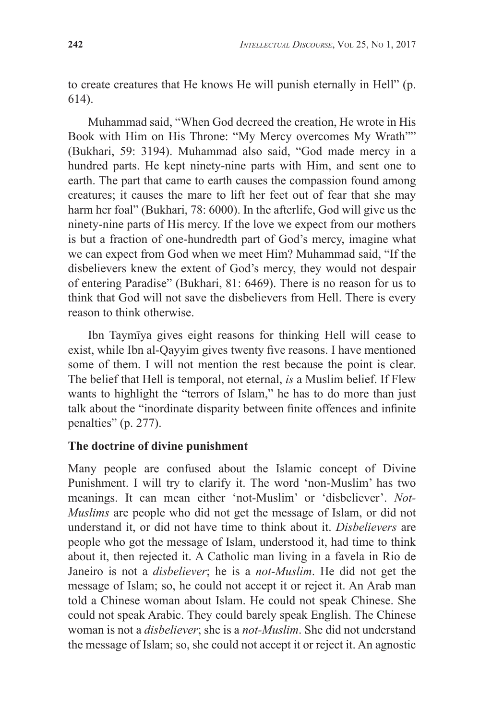to create creatures that He knows He will punish eternally in Hell" (p. 614).

Muhammad said, "When God decreed the creation, He wrote in His Book with Him on His Throne: "My Mercy overcomes My Wrath"" (Bukhari, 59: 3194). Muhammad also said, "God made mercy in a hundred parts. He kept ninety-nine parts with Him, and sent one to earth. The part that came to earth causes the compassion found among creatures; it causes the mare to lift her feet out of fear that she may harm her foal" (Bukhari, 78: 6000). In the afterlife, God will give us the ninety-nine parts of His mercy. If the love we expect from our mothers is but a fraction of one-hundredth part of God's mercy, imagine what we can expect from God when we meet Him? Muhammad said, "If the disbelievers knew the extent of God's mercy, they would not despair of entering Paradise" (Bukhari, 81: 6469). There is no reason for us to think that God will not save the disbelievers from Hell. There is every reason to think otherwise.

Ibn Taymīya gives eight reasons for thinking Hell will cease to exist, while Ibn al-Qayyim gives twenty five reasons. I have mentioned some of them. I will not mention the rest because the point is clear. The belief that Hell is temporal, not eternal, *is* a Muslim belief. If Flew wants to highlight the "terrors of Islam," he has to do more than just talk about the "inordinate disparity between finite offences and infinite penalties" (p. 277).

## **The doctrine of divine punishment**

Many people are confused about the Islamic concept of Divine Punishment. I will try to clarify it. The word 'non-Muslim' has two meanings. It can mean either 'not-Muslim' or 'disbeliever'. *Not-Muslims* are people who did not get the message of Islam, or did not understand it, or did not have time to think about it. *Disbelievers* are people who got the message of Islam, understood it, had time to think about it, then rejected it. A Catholic man living in a favela in Rio de Janeiro is not a *disbeliever*; he is a *not-Muslim*. He did not get the message of Islam; so, he could not accept it or reject it. An Arab man told a Chinese woman about Islam. He could not speak Chinese. She could not speak Arabic. They could barely speak English. The Chinese woman is not a *disbeliever*; she is a *not-Muslim*. She did not understand the message of Islam; so, she could not accept it or reject it. An agnostic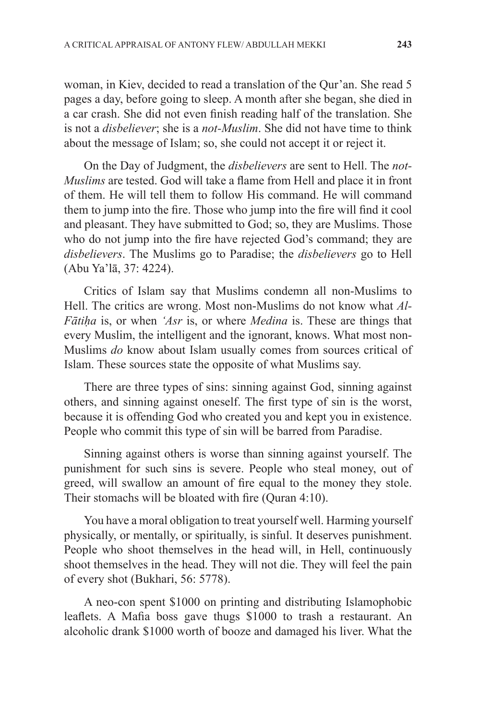woman, in Kiev, decided to read a translation of the Qur'an. She read 5 pages a day, before going to sleep. A month after she began, she died in a car crash. She did not even finish reading half of the translation. She is not a *disbeliever*; she is a *not-Muslim*. She did not have time to think about the message of Islam; so, she could not accept it or reject it.

On the Day of Judgment, the *disbelievers* are sent to Hell. The *not-Muslims* are tested. God will take a flame from Hell and place it in front of them. He will tell them to follow His command. He will command them to jump into the fire. Those who jump into the fire will find it cool and pleasant. They have submitted to God; so, they are Muslims. Those who do not jump into the fire have rejected God's command; they are *disbelievers*. The Muslims go to Paradise; the *disbelievers* go to Hell (Abu Ya'lā, 37: 4224).

Critics of Islam say that Muslims condemn all non-Muslims to Hell. The critics are wrong. Most non-Muslims do not know what *Al-Fātiḥa* is, or when *'Asr* is, or where *Medina* is. These are things that every Muslim, the intelligent and the ignorant, knows. What most non-Muslims *do* know about Islam usually comes from sources critical of Islam. These sources state the opposite of what Muslims say.

There are three types of sins: sinning against God, sinning against others, and sinning against oneself. The first type of sin is the worst, because it is offending God who created you and kept you in existence. People who commit this type of sin will be barred from Paradise.

Sinning against others is worse than sinning against yourself. The punishment for such sins is severe. People who steal money, out of greed, will swallow an amount of fire equal to the money they stole. Their stomachs will be bloated with fire (Quran 4:10).

You have a moral obligation to treat yourself well. Harming yourself physically, or mentally, or spiritually, is sinful. It deserves punishment. People who shoot themselves in the head will, in Hell, continuously shoot themselves in the head. They will not die. They will feel the pain of every shot (Bukhari, 56: 5778).

A neo-con spent \$1000 on printing and distributing Islamophobic leaflets. A Mafia boss gave thugs \$1000 to trash a restaurant. An alcoholic drank \$1000 worth of booze and damaged his liver. What the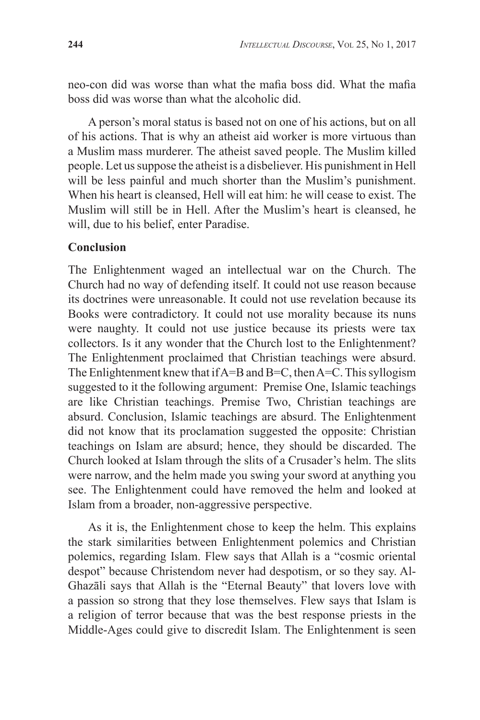neo-con did was worse than what the mafia boss did. What the mafia boss did was worse than what the alcoholic did.

A person's moral status is based not on one of his actions, but on all of his actions. That is why an atheist aid worker is more virtuous than a Muslim mass murderer. The atheist saved people. The Muslim killed people. Let us suppose the atheist is a disbeliever. His punishment in Hell will be less painful and much shorter than the Muslim's punishment. When his heart is cleansed, Hell will eat him: he will cease to exist. The Muslim will still be in Hell. After the Muslim's heart is cleansed, he will, due to his belief, enter Paradise.

#### **Conclusion**

The Enlightenment waged an intellectual war on the Church. The Church had no way of defending itself. It could not use reason because its doctrines were unreasonable. It could not use revelation because its Books were contradictory. It could not use morality because its nuns were naughty. It could not use justice because its priests were tax collectors. Is it any wonder that the Church lost to the Enlightenment? The Enlightenment proclaimed that Christian teachings were absurd. The Enlightenment knew that if A=B and B=C, then A=C. This syllogism suggested to it the following argument: Premise One, Islamic teachings are like Christian teachings. Premise Two, Christian teachings are absurd. Conclusion, Islamic teachings are absurd. The Enlightenment did not know that its proclamation suggested the opposite: Christian teachings on Islam are absurd; hence, they should be discarded. The Church looked at Islam through the slits of a Crusader's helm. The slits were narrow, and the helm made you swing your sword at anything you see. The Enlightenment could have removed the helm and looked at Islam from a broader, non-aggressive perspective.

As it is, the Enlightenment chose to keep the helm. This explains the stark similarities between Enlightenment polemics and Christian polemics, regarding Islam. Flew says that Allah is a "cosmic oriental despot" because Christendom never had despotism, or so they say. Al-Ghazāli says that Allah is the "Eternal Beauty" that lovers love with a passion so strong that they lose themselves. Flew says that Islam is a religion of terror because that was the best response priests in the Middle-Ages could give to discredit Islam. The Enlightenment is seen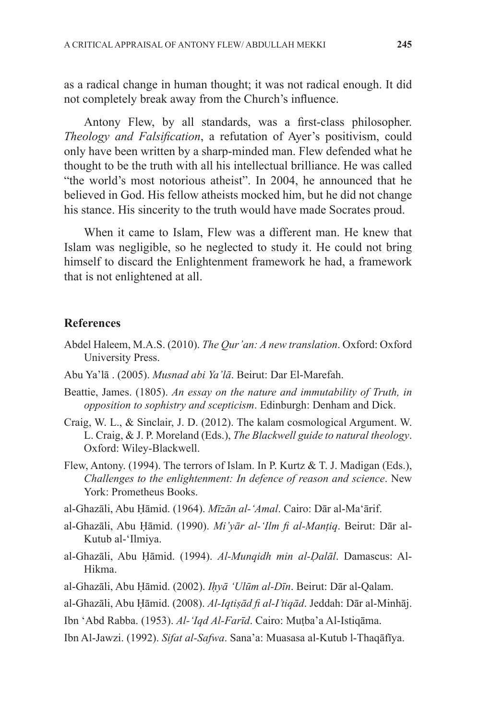as a radical change in human thought; it was not radical enough. It did not completely break away from the Church's influence.

Antony Flew, by all standards, was a first-class philosopher. *Theology and Falsification*, a refutation of Ayer's positivism, could only have been written by a sharp-minded man. Flew defended what he thought to be the truth with all his intellectual brilliance. He was called "the world's most notorious atheist". In 2004, he announced that he believed in God. His fellow atheists mocked him, but he did not change his stance. His sincerity to the truth would have made Socrates proud.

When it came to Islam, Flew was a different man. He knew that Islam was negligible, so he neglected to study it. He could not bring himself to discard the Enlightenment framework he had, a framework that is not enlightened at all.

#### **References**

- Abdel Haleem, M.A.S. (2010). *The Qur'an: A new translation*. Oxford: Oxford University Press.
- Abu Ya'lā . (2005). *Musnad abi Ya'lā*. Beirut: Dar El-Marefah.
- Beattie, James. (1805). *An essay on the nature and immutability of Truth, in opposition to sophistry and scepticism*. Edinburgh: Denham and Dick.
- Craig, W. L., & Sinclair, J. D. (2012). The kalam cosmological Argument. W. L. Craig, & J. P. Moreland (Eds.), *The Blackwell guide to natural theology*. Oxford: Wiley-Blackwell.
- Flew, Antony. (1994). The terrors of Islam. In P. Kurtz & T. J. Madigan (Eds.), *Challenges to the enlightenment: In defence of reason and science*. New York: Prometheus Books.
- al-Ghazāli, Abu Ḥāmid. (1964). *Mīzān al-'Amal*. Cairo: Dār al-Ma'ārif.
- al-Ghazāli, Abu Ḥāmid. (1990). *Mi'yār al-'Ilm fi al-Manṭiq*. Beirut: Dār al-Kutub al-'Ilmiya.
- al-Ghazāli, Abu Ḥāmid. (1994). *Al-Munqidh min al-Ḍalāl*. Damascus: Al-Hikma.
- al-Ghazāli, Abu Ḥāmid. (2002). *Iḥyā 'Ulūm al-Dīn*. Beirut: Dār al-Qalam.
- al-Ghazāli, Abu Ḥāmid. (2008). *Al-Iqtiṣād fi al-I'tiqād*. Jeddah: Dār al-Minhāj.
- Ibn 'Abd Rabba. (1953). *Al-'Iqd Al-Farīd*. Cairo: Muṭba'a Al-Istiqāma.
- Ibn Al-Jawzi. (1992). *Sifat al-Safwa*. Sana'a: Muasasa al-Kutub l-Thaqāfīya.